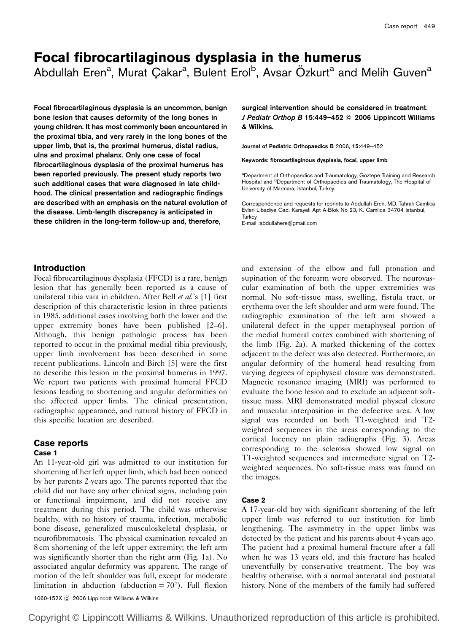# Focal fibrocartilaginous dysplasia in the humerus

Abdullah Eren<sup>a</sup>, Murat Çakar<sup>a</sup>, Bulent Erol<sup>b</sup>, Avsar Özkurt<sup>a</sup> and Melih Guven<sup>a</sup>

Focal fibrocartilaginous dysplasia is an uncommon, benign bone lesion that causes deformity of the long bones in young children. It has most commonly been encountered in the proximal tibia, and very rarely in the long bones of the upper limb, that is, the proximal humerus, distal radius, ulna and proximal phalanx. Only one case of focal fibrocartilaginous dysplasia of the proximal humerus has been reported previously. The present study reports two such additional cases that were diagnosed in late childhood. The clinical presentation and radiographic findings are described with an emphasis on the natural evolution of the disease. Limb-length discrepancy is anticipated in these children in the long-term follow-up and, therefore,

surgical intervention should be considered in treatment. J Pediatr Orthop B 15:449-452 © 2006 Lippincott Williams & Wilkins.

Journal of Pediatric Orthopaedics B 2006, 15:449–452

Keywords: fibrocartilaginous dysplasia, focal, upper limb

<sup>a</sup>Department of Orthopaedics and Traumatology, Göztepe Training and Research<br>Hospital and <sup>b</sup>Department of Orthopaedics and Traumatology, The Hospital of University of Marmara, Istanbul, Turkey.

Correspondence and requests for reprints to Abdullah Eren, MD, Tahralı Camlıca Evleri Libadiye Cad. Karayeli Apt A-Blok No 23, K. Camlıca 34704 Istanbul, **Turkey** 

E-mail :abdullahere@gmail.com

## Introduction

Focal fibrocartilaginous dysplasia (FFCD) is a rare, benign lesion that has generally been reported as a cause of unilateral tibia vara in children. After Bell et al.'s [1] first description of this characteristic lesion in three patients in 1985, additional cases involving both the lower and the upper extremity bones have been published [2–6]. Although, this benign pathologic process has been reported to occur in the proximal medial tibia previously, upper limb involvement has been described in some recent publications. Lincoln and Birch [5] were the first to describe this lesion in the proximal humerus in 1997. We report two patients with proximal humeral FFCD lesions leading to shortening and angular deformities on the affected upper limbs. The clinical presentation, radiographic appearance, and natural history of FFCD in this specific location are described.

# Case reports

Case 1 An 11-year-old girl was admitted to our institution for shortening of her left upper limb, which had been noticed by her parents 2 years ago. The parents reported that the child did not have any other clinical signs, including pain or functional impairment, and did not receive any treatment during this period. The child was otherwise healthy, with no history of trauma, infection, metabolic

bone disease, generalized musculoskeletal dysplasia, or neurofibromatosis. The physical examination revealed an 8 cm shortening of the left upper extremity; the left arm was significantly shorter than the right arm (Fig. 1a). No associated angular deformity was apparent. The range of motion of the left shoulder was full, except for moderate limitation in abduction (abduction =  $70^{\circ}$ ). Full flexion

and extension of the elbow and full pronation and supination of the forearm were observed. The neurovascular examination of both the upper extremities was normal. No soft-tissue mass, swelling, fistula tract, or erythema over the left shoulder and arm were found. The radiographic examination of the left arm showed a unilateral defect in the upper metaphyseal portion of the medial humeral cortex combined with shortening of the limb (Fig. 2a). A marked thickening of the cortex adjacent to the defect was also detected. Furthermore, an angular deformity of the humeral head resulting from varying degrees of epiphyseal closure was demonstrated. Magnetic resonance imaging (MRI) was performed to evaluate the bone lesion and to exclude an adjacent softtissue mass. MRI demonstrated medial physeal closure and muscular interposition in the defective area. A low signal was recorded on both T1-weighted and T2 weighted sequences in the areas corresponding to the cortical lucency on plain radiographs (Fig. 3). Areas corresponding to the sclerosis showed low signal on T1-weighted sequences and intermediate signal on T2 weighted sequences. No soft-tissue mass was found on the images.

#### Case 2

A 17-year-old boy with significant shortening of the left upper limb was referred to our institution for limb lengthening. The asymmetry in the upper limbs was detected by the patient and his parents about 4 years ago. The patient had a proximal humeral fracture after a fall when he was 13 years old, and this fracture has healed uneventfully by conservative treatment. The boy was healthy otherwise, with a normal antenatal and postnatal history. None of the members of the family had suffered

1060-152X C 2006 Lippincott Williams & Wilkins

Copyright © Lippincott Williams & Wilkins. Unauthorized reproduction of this article is prohibited.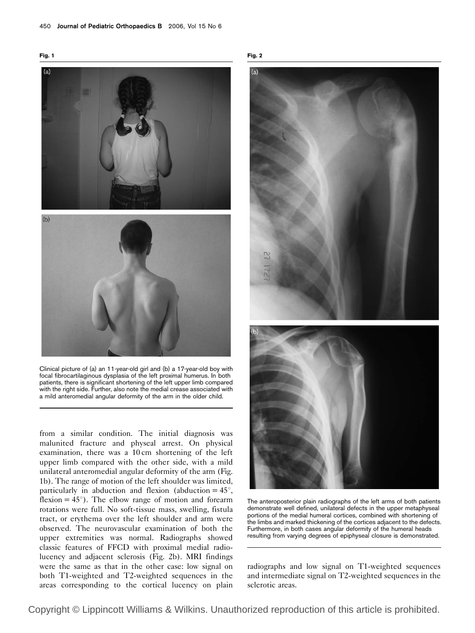



Clinical picture of (a) an 11-year-old girl and (b) a 17-year-old boy with focal fibrocartilaginous dysplasia of the left proximal humerus. In both patients, there is significant shortening of the left upper limb compared with the right side. Further, also note the medial crease associated with a mild anteromedial angular deformity of the arm in the older child.

from a similar condition. The initial diagnosis was malunited fracture and physeal arrest. On physical examination, there was a 10 cm shortening of the left upper limb compared with the other side, with a mild unilateral anteromedial angular deformity of the arm (Fig. 1b). The range of motion of the left shoulder was limited, particularly in abduction and flexion (abduction  $= 45^{\circ}$ , flexion  $= 45^{\circ}$ ). The elbow range of motion and forearm rotations were full. No soft-tissue mass, swelling, fistula tract, or erythema over the left shoulder and arm were observed. The neurovascular examination of both the upper extremities was normal. Radiographs showed classic features of FFCD with proximal medial radiolucency and adjacent sclerosis (Fig. 2b). MRI findings were the same as that in the other case: low signal on both T1-weighted and T2-weighted sequences in the areas corresponding to the cortical lucency on plain





The anteroposterior plain radiographs of the left arms of both patients demonstrate well defined, unilateral defects in the upper metaphyseal portions of the medial humeral cortices, combined with shortening of the limbs and marked thickening of the cortices adjacent to the defects. Furthermore, in both cases angular deformity of the humeral heads resulting from varying degrees of epiphyseal closure is demonstrated.

radiographs and low signal on T1-weighted sequences and intermediate signal on T2-weighted sequences in the sclerotic areas.

Copyright © Lippincott Williams & Wilkins. Unauthorized reproduction of this article is prohibited.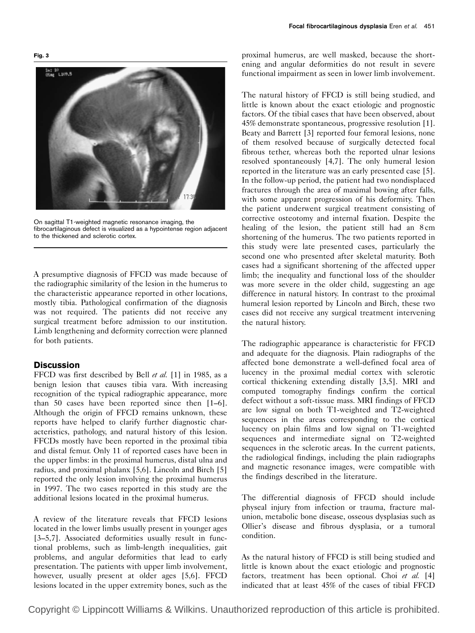In: 10<br>US<del>a</del>g 1.109.5

On sagittal T1-weighted magnetic resonance imaging, the fibrocartilaginous defect is visualized as a hypointense region adjacent to the thickened and sclerotic cortex.

A presumptive diagnosis of FFCD was made because of the radiographic similarity of the lesion in the humerus to the characteristic appearance reported in other locations, mostly tibia. Pathological confirmation of the diagnosis was not required. The patients did not receive any surgical treatment before admission to our institution. Limb lengthening and deformity correction were planned for both patients.

## **Discussion**

FFCD was first described by Bell et al. [1] in 1985, as a benign lesion that causes tibia vara. With increasing recognition of the typical radiographic appearance, more than 50 cases have been reported since then [1–6]. Although the origin of FFCD remains unknown, these reports have helped to clarify further diagnostic characteristics, pathology, and natural history of this lesion. FFCDs mostly have been reported in the proximal tibia and distal femur. Only 11 of reported cases have been in the upper limbs: in the proximal humerus, distal ulna and radius, and proximal phalanx [5,6]. Lincoln and Birch [5] reported the only lesion involving the proximal humerus in 1997. The two cases reported in this study are the additional lesions located in the proximal humerus.

A review of the literature reveals that FFCD lesions located in the lower limbs usually present in younger ages [3–5,7]. Associated deformities usually result in functional problems, such as limb-length inequalities, gait problems, and angular deformities that lead to early presentation. The patients with upper limb involvement, however, usually present at older ages [5,6]. FFCD lesions located in the upper extremity bones, such as the

proximal humerus, are well masked, because the shortening and angular deformities do not result in severe functional impairment as seen in lower limb involvement.

The natural history of FFCD is still being studied, and little is known about the exact etiologic and prognostic factors. Of the tibial cases that have been observed, about 45% demonstrate spontaneous, progressive resolution [1]. Beaty and Barrett [3] reported four femoral lesions, none of them resolved because of surgically detected focal fibrous tether, whereas both the reported ulnar lesions resolved spontaneously [4,7]. The only humeral lesion reported in the literature was an early presented case [5]. In the follow-up period, the patient had two nondisplaced fractures through the area of maximal bowing after falls, with some apparent progression of his deformity. Then the patient underwent surgical treatment consisting of corrective osteotomy and internal fixation. Despite the healing of the lesion, the patient still had an 8 cm shortening of the humerus. The two patients reported in this study were late presented cases, particularly the second one who presented after skeletal maturity. Both cases had a significant shortening of the affected upper limb; the inequality and functional loss of the shoulder was more severe in the older child, suggesting an age difference in natural history. In contrast to the proximal humeral lesion reported by Lincoln and Birch, these two cases did not receive any surgical treatment intervening the natural history.

The radiographic appearance is characteristic for FFCD and adequate for the diagnosis. Plain radiographs of the affected bone demonstrate a well-defined focal area of lucency in the proximal medial cortex with sclerotic cortical thickening extending distally [3,5]. MRI and computed tomography findings confirm the cortical defect without a soft-tissue mass. MRI findings of FFCD are low signal on both T1-weighted and T2-weighted sequences in the areas corresponding to the cortical lucency on plain films and low signal on T1-weighted sequences and intermediate signal on T2-weighted sequences in the sclerotic areas. In the current patients, the radiological findings, including the plain radiographs and magnetic resonance images, were compatible with the findings described in the literature.

The differential diagnosis of FFCD should include physeal injury from infection or trauma, fracture malunion, metabolic bone disease, osseous dysplasias such as Ollier's disease and fibrous dysplasia, or a tumoral condition.

As the natural history of FFCD is still being studied and little is known about the exact etiologic and prognostic factors, treatment has been optional. Choi et al.  $[4]$ indicated that at least 45% of the cases of tibial FFCD